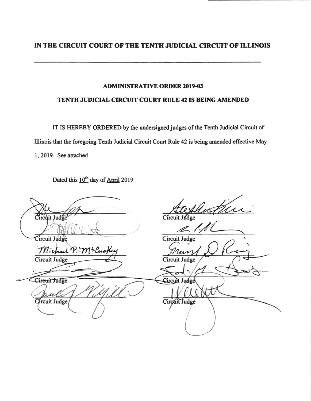## IN THE CIRCUIT COURT OF THE TENTH JIJDICIAL CIRCUIT OF ILLINOIS

#### **ADMINISTRATIVE ORDER 2019-03**

#### TENTH JUDICIAL CIRCUIT COURT RULE 42 IS BEING AMENDED

IT IS HEREBY ORDERED by the undersigned judges of the Tenth Judicial Circuit of Illinois that the foregoing Tenth Judicial Circuit Court Rule 42 is being amended effective May 1, 2019. See attached

Dated this 10<sup>th</sup> day of April 2019

uf  $Circuit$  Judge  $Circuit$  Judge  $\overline{\mathscr{L}}$ Circuit Judge Circuit Judge Michael P. ME Circuit Judge Circuit Judge Circuit Judge Circult Judge Circuit Judge Circuit Judge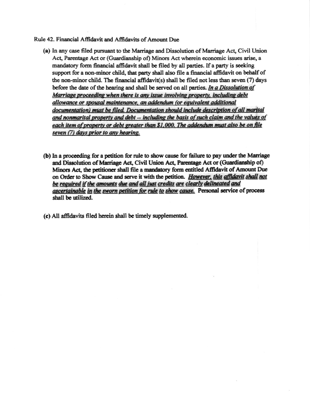#### Rule 42. Financial Affidavit and Affidavits of Amount Due

- (a) In any case filed pursuant to the Marriage and Dissolution of Marriage Act, Civil Union Act, Parentage Act or (Guardianship of) Minors Act wherein economic issues arise, a mandatory form financial affidavit shall be filed by all parties. If a party is seeking support for a non-minor child, that party shall also file a financial affidavit on behalf of the non-minor child. The financial affidavit(s) shall be filed not less than seven  $(7)$  days before the date of the hearing and shall be served on all parties. In a Dissolution of Marriage proceeding when there is any issue involving property, including debt allowance or spousal maintenance, an addendum (or equivalent additional documentation) must be filed. Documentation should include description of all marital and nonmarital property and debt -- including the basis of such claim and the values of each item of property or debt greater than \$1,000. The addendum must also be on file seven (7) days prior to any hearing.
- (b) In a proceeding for a petition for rule to show cause for failure to pay under the Marriage and Dissolution of Marriage Act, Civil Union Act, Parentage Act or (Guardianship of) Minors Act, the petitioner shall file a mandatory form entitled Affidavit of Amount Due on Order to Show Cause and serve it with the petition. However, this affidavit shall not be required if the amounts due and all just credits are clearly delineated and ascertainable in the sworn petition for rule to show cause. Personal service of process shall be utilized.
- (c) All affidavits filed herein shall be timely supplemented.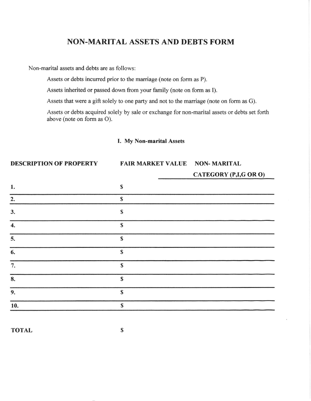## NON-MARITAL ASSETS AND DEBTS FORM

Non-marital assets and debts are as follows:

Assets or debts incurred prior to the marriage (note on form as P).

Assets inherited or passed down from your family (note on form as I).

Assets that were a gift solely to one party and not to the marriage (note on form as G).

Assets or debts acquired solely by sale or exchange for non-marital assets or debts set forth above (note on form as O).

#### I. My Non-merital Assets

#### DESCRIPTION OF PROPERTY

# FAIR MARKET VALUE NON-MARITAL

| CATEGORY (P,I,G OR O) |  |
|-----------------------|--|
|                       |  |

| 1.               | $\mathbf S$  |  |
|------------------|--------------|--|
| 2.               | $\mathbf S$  |  |
| 3.               | $\mathbb S$  |  |
| $\overline{4}$ . | $\mathbb{S}$ |  |
| 5.               | $\mathbb{S}$ |  |
| 6.               | $\mathbb{S}$ |  |
| 7.               | $\mathbb{S}$ |  |
| 8.               | $\mathbf S$  |  |
| 9.               | $\mathbb S$  |  |
| 10.              | S            |  |

TOTAL S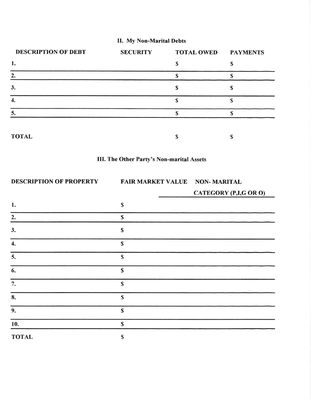## II. My Non-Marital Debts

| <b>DESCRIPTION OF DEBT</b> | <b>SECURITY</b> | <b>TOTAL OWED</b> | <b>PAYMENTS</b> |
|----------------------------|-----------------|-------------------|-----------------|
| 1.                         |                 |                   |                 |
| 2.                         |                 |                   |                 |
| 3.                         |                 |                   |                 |
|                            |                 |                   |                 |
| 5.                         |                 |                   |                 |
| <b>TOTAL</b>               |                 |                   |                 |



| <b>DESCRIPTION OF PROPERTY</b> | <b>FAIR MARKET VALUE NON-MARITAL</b> | CATEGORY (P,I,G OR O) |
|--------------------------------|--------------------------------------|-----------------------|
| 1.                             | S                                    |                       |
| 2.                             | S                                    |                       |
| 3.                             | S                                    |                       |
| $\overline{4}$ .               | $\mathbb{S}$                         |                       |
| 5.                             | $\mathbf S$                          |                       |
| 6.                             | $\mathbf S$                          |                       |
| 7.                             | $\mathbf S$                          |                       |
| 8.                             | S                                    |                       |
| 9.                             | S                                    |                       |
| 10.                            | $\mathbf S$                          |                       |

TOTAL S